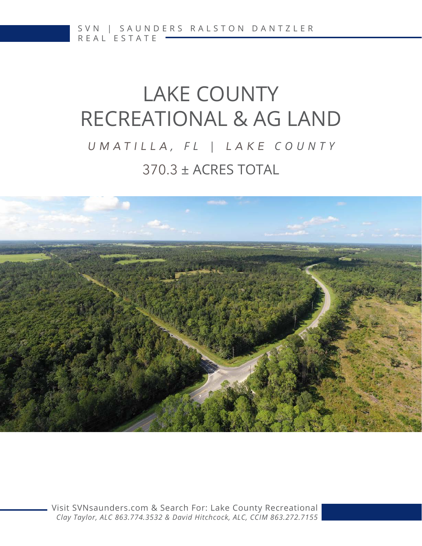# LAKE COUNTY RECREATIONAL & AG LAND 370.3 ± ACRES TOTAL *UMATILLA , FL | LAKE COUNTY*



[Visit SVNsaunders.com & Search For: Lake County Recreational](http://www.SVNsaunders.com) *Clay Taylor, ALC 863.774.3532 & David Hitchcock, ALC, CCIM 863.272.7155*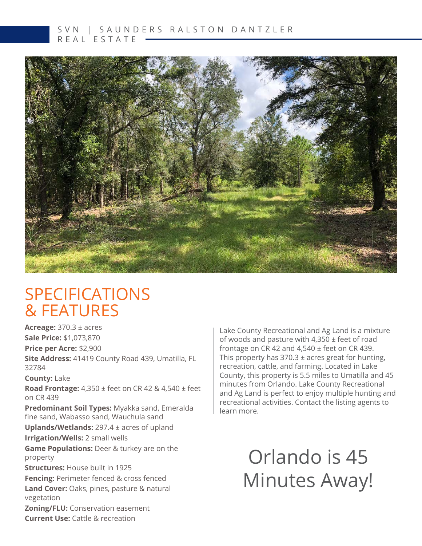

### SPECIFICATIONS & FEATURES

**Acreage:** 370.3 ± acres **Sale Price:** \$1,073,870 **Price per Acre:** \$2,900 **Site Address:** 41419 County Road 439, Umatilla, FL 32784

**County:** Lake

**Road Frontage:** 4,350 ± feet on CR 42 & 4,540 ± feet on CR 439

**Predominant Soil Types:** Myakka sand, Emeralda fine sand, Wabasso sand, Wauchula sand **Uplands/Wetlands:** 297.4 ± acres of upland

**Irrigation/Wells:** 2 small wells

**Game Populations:** Deer & turkey are on the property

**Structures:** House built in 1925

**Fencing:** Perimeter fenced & cross fenced **Land Cover:** Oaks, pines, pasture & natural vegetation

**Zoning/FLU:** Conservation easement **Current Use:** Cattle & recreation

Lake County Recreational and Ag Land is a mixture of woods and pasture with 4,350  $\pm$  feet of road frontage on CR 42 and 4,540 ± feet on CR 439. This property has  $370.3 \pm \text{acres}$  great for hunting, recreation, cattle, and farming. Located in Lake County, this property is 5.5 miles to Umatilla and 45 minutes from Orlando. Lake County Recreational and Ag Land is perfect to enjoy multiple hunting and recreational activities. Contact the listing agents to learn more.

## Orlando is 45 Minutes Away!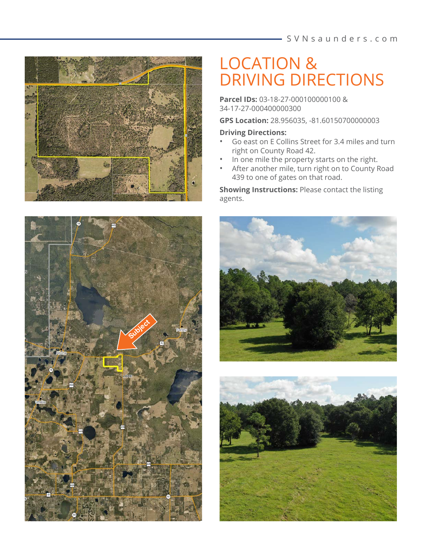

## LOCATION & DRIVING DIRECTIONS

**Parcel IDs:** 03-18-27-000100000100 & 34-17-27-000400000300

**GPS Location:** 28.956035, -81.60150700000003

#### **Driving Directions:**

- Go east on E Collins Street for 3.4 miles and turn right on County Road 42.
- In one mile the property starts on the right.
- After another mile, turn right on to County Road 439 to one of gates on that road.

**Showing Instructions:** Please contact the listing agents.